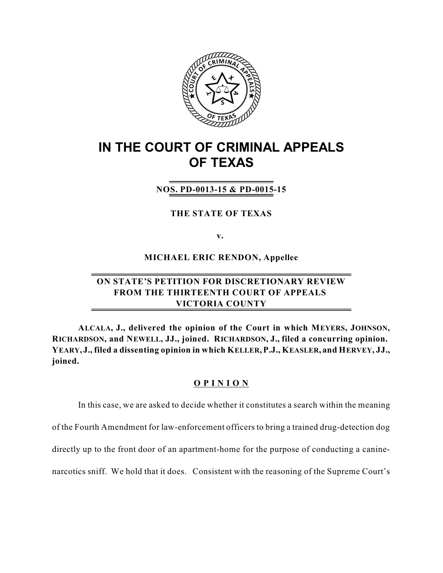

# **IN THE COURT OF CRIMINAL APPEALS OF TEXAS**

## **NOS. PD-0013-15 & PD-0015-15**

#### **THE STATE OF TEXAS**

**v.**

**MICHAEL ERIC RENDON, Appellee**

## **ON STATE'S PETITION FOR DISCRETIONARY REVIEW FROM THE THIRTEENTH COURT OF APPEALS VICTORIA COUNTY**

**ALCALA, J., delivered the opinion of the Court in which MEYERS, JOHNSON, RICHARDSON, and NEWELL, JJ., joined. RICHARDSON, J., filed a concurring opinion.** YEARY, J., filed a dissenting opinion in which KELLER, P.J., KEASLER, and HERVEY, JJ., **joined.**

### **O P I N I O N**

In this case, we are asked to decide whether it constitutes a search within the meaning of the Fourth Amendment for law-enforcement officers to bring a trained drug-detection dog directly up to the front door of an apartment-home for the purpose of conducting a caninenarcotics sniff. We hold that it does. Consistent with the reasoning of the Supreme Court's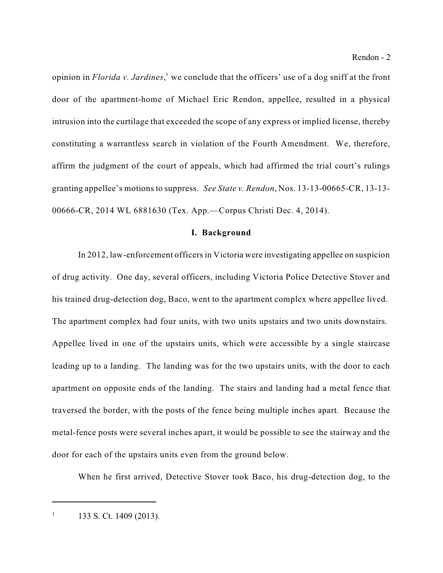opinion in *Florida v. Jardines*,<sup>1</sup> we conclude that the officers' use of a dog sniff at the front door of the apartment-home of Michael Eric Rendon, appellee, resulted in a physical intrusion into the curtilage that exceeded the scope of any express or implied license, thereby constituting a warrantless search in violation of the Fourth Amendment. We, therefore, affirm the judgment of the court of appeals, which had affirmed the trial court's rulings granting appellee's motions to suppress. *See State v. Rendon*, Nos. 13-13-00665-CR, 13-13- 00666-CR, 2014 WL 6881630 (Tex. App.—Corpus Christi Dec. 4, 2014).

#### **I. Background**

In 2012, law-enforcement officersin Victoria were investigating appellee on suspicion of drug activity. One day, several officers, including Victoria Police Detective Stover and his trained drug-detection dog, Baco, went to the apartment complex where appellee lived. The apartment complex had four units, with two units upstairs and two units downstairs. Appellee lived in one of the upstairs units, which were accessible by a single staircase leading up to a landing. The landing was for the two upstairs units, with the door to each apartment on opposite ends of the landing. The stairs and landing had a metal fence that traversed the border, with the posts of the fence being multiple inches apart. Because the metal-fence posts were several inches apart, it would be possible to see the stairway and the door for each of the upstairs units even from the ground below.

When he first arrived, Detective Stover took Baco, his drug-detection dog, to the

 $1$  133 S. Ct. 1409 (2013).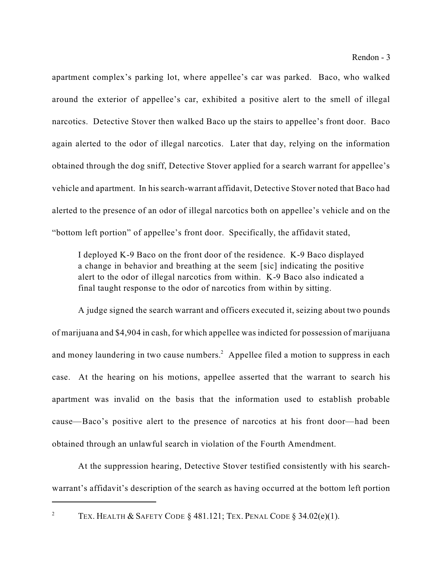apartment complex's parking lot, where appellee's car was parked. Baco, who walked around the exterior of appellee's car, exhibited a positive alert to the smell of illegal narcotics. Detective Stover then walked Baco up the stairs to appellee's front door. Baco again alerted to the odor of illegal narcotics. Later that day, relying on the information obtained through the dog sniff, Detective Stover applied for a search warrant for appellee's vehicle and apartment. In his search-warrant affidavit, Detective Stover noted that Baco had alerted to the presence of an odor of illegal narcotics both on appellee's vehicle and on the "bottom left portion" of appellee's front door. Specifically, the affidavit stated,

I deployed K-9 Baco on the front door of the residence. K-9 Baco displayed a change in behavior and breathing at the seem [sic] indicating the positive alert to the odor of illegal narcotics from within. K-9 Baco also indicated a final taught response to the odor of narcotics from within by sitting.

A judge signed the search warrant and officers executed it, seizing about two pounds of marijuana and \$4,904 in cash, for which appellee was indicted for possession of marijuana and money laundering in two cause numbers.<sup>2</sup> Appellee filed a motion to suppress in each case. At the hearing on his motions, appellee asserted that the warrant to search his apartment was invalid on the basis that the information used to establish probable cause—Baco's positive alert to the presence of narcotics at his front door—had been obtained through an unlawful search in violation of the Fourth Amendment.

At the suppression hearing, Detective Stover testified consistently with his searchwarrant's affidavit's description of the search as having occurred at the bottom left portion

<sup>&</sup>lt;sup>2</sup> TEX. HEALTH & SAFETY CODE § 481.121; TEX. PENAL CODE § 34.02(e)(1).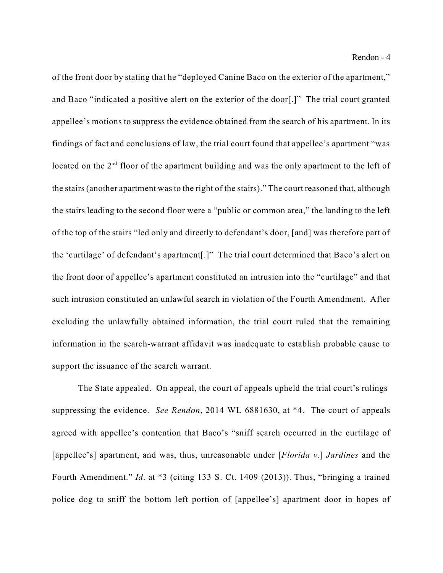of the front door by stating that he "deployed Canine Baco on the exterior of the apartment," and Baco "indicated a positive alert on the exterior of the door[.]" The trial court granted appellee's motions to suppress the evidence obtained from the search of his apartment. In its findings of fact and conclusions of law, the trial court found that appellee's apartment "was located on the  $2<sup>nd</sup>$  floor of the apartment building and was the only apartment to the left of the stairs (another apartment was to the right of the stairs)." The court reasoned that, although the stairs leading to the second floor were a "public or common area," the landing to the left of the top of the stairs "led only and directly to defendant's door, [and] was therefore part of the 'curtilage' of defendant's apartment[.]" The trial court determined that Baco's alert on the front door of appellee's apartment constituted an intrusion into the "curtilage" and that such intrusion constituted an unlawful search in violation of the Fourth Amendment. After excluding the unlawfully obtained information, the trial court ruled that the remaining information in the search-warrant affidavit was inadequate to establish probable cause to support the issuance of the search warrant.

The State appealed. On appeal, the court of appeals upheld the trial court's rulings suppressing the evidence. *See Rendon*, 2014 WL 6881630, at \*4. The court of appeals agreed with appellee's contention that Baco's "sniff search occurred in the curtilage of [appellee's] apartment, and was, thus, unreasonable under [*Florida v.*] *Jardines* and the Fourth Amendment." *Id*. at \*3 (citing 133 S. Ct. 1409 (2013)). Thus, "bringing a trained police dog to sniff the bottom left portion of [appellee's] apartment door in hopes of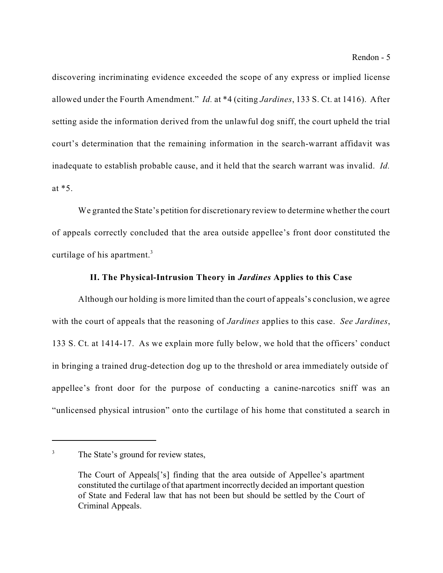discovering incriminating evidence exceeded the scope of any express or implied license allowed under the Fourth Amendment." *Id.* at \*4 (citing *Jardines*, 133 S. Ct. at 1416). After setting aside the information derived from the unlawful dog sniff, the court upheld the trial court's determination that the remaining information in the search-warrant affidavit was inadequate to establish probable cause, and it held that the search warrant was invalid. *Id.* at \*5.

We granted the State's petition for discretionary review to determine whether the court of appeals correctly concluded that the area outside appellee's front door constituted the curtilage of his apartment.<sup>3</sup>

### **II. The Physical-Intrusion Theory in** *Jardines* **Applies to this Case**

Although our holding is more limited than the court of appeals's conclusion, we agree with the court of appeals that the reasoning of *Jardines* applies to this case. *See Jardines*, 133 S. Ct. at 1414-17. As we explain more fully below, we hold that the officers' conduct in bringing a trained drug-detection dog up to the threshold or area immediately outside of appellee's front door for the purpose of conducting a canine-narcotics sniff was an "unlicensed physical intrusion" onto the curtilage of his home that constituted a search in

<sup>&</sup>lt;sup>3</sup> The State's ground for review states,

The Court of Appeals['s] finding that the area outside of Appellee's apartment constituted the curtilage of that apartment incorrectly decided an important question of State and Federal law that has not been but should be settled by the Court of Criminal Appeals.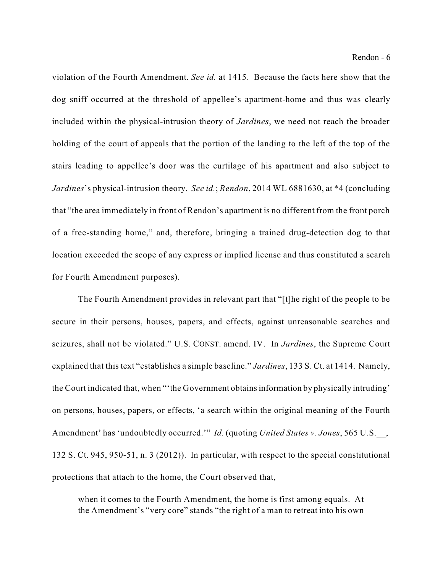violation of the Fourth Amendment. *See id.* at 1415. Because the facts here show that the dog sniff occurred at the threshold of appellee's apartment-home and thus was clearly included within the physical-intrusion theory of *Jardines*, we need not reach the broader holding of the court of appeals that the portion of the landing to the left of the top of the stairs leading to appellee's door was the curtilage of his apartment and also subject to *Jardines*'s physical-intrusion theory. *See id.*; *Rendon*, 2014 WL 6881630, at \*4 (concluding that "the area immediately in front of Rendon's apartment is no different from the front porch of a free-standing home," and, therefore, bringing a trained drug-detection dog to that location exceeded the scope of any express or implied license and thus constituted a search for Fourth Amendment purposes).

The Fourth Amendment provides in relevant part that "[t]he right of the people to be secure in their persons, houses, papers, and effects, against unreasonable searches and seizures, shall not be violated." U.S. CONST. amend. IV. In *Jardines*, the Supreme Court explained that this text "establishes a simple baseline." *Jardines*, 133 S. Ct. at 1414. Namely, the Court indicated that, when "'the Government obtainsinformation by physically intruding' on persons, houses, papers, or effects, 'a search within the original meaning of the Fourth Amendment' has 'undoubtedly occurred.'" *Id.* (quoting *United States v. Jones*, 565 U.S.\_\_, 132 S. Ct. 945, 950-51, n. 3 (2012)). In particular, with respect to the special constitutional protections that attach to the home, the Court observed that,

when it comes to the Fourth Amendment, the home is first among equals. At the Amendment's "very core" stands "the right of a man to retreat into his own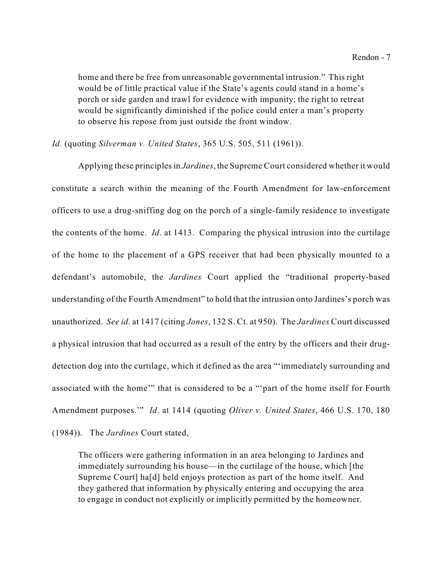home and there be free from unreasonable governmental intrusion." This right would be of little practical value if the State's agents could stand in a home's porch or side garden and trawl for evidence with impunity; the right to retreat would be significantly diminished if the police could enter a man's property to observe his repose from just outside the front window.

*Id.* (quoting *Silverman v. United States*, 365 U.S. 505, 511 (1961)).

Applying these principlesin *Jardines*, the Supreme Court considered whether it would constitute a search within the meaning of the Fourth Amendment for law-enforcement officers to use a drug-sniffing dog on the porch of a single-family residence to investigate the contents of the home. *Id*. at 1413. Comparing the physical intrusion into the curtilage of the home to the placement of a GPS receiver that had been physically mounted to a defendant's automobile, the *Jardines* Court applied the "traditional property-based understanding of the Fourth Amendment" to hold that the intrusion onto Jardines's porch was unauthorized. *See id*. at 1417 (citing *Jones*, 132 S. Ct. at 950). The *Jardines* Court discussed a physical intrusion that had occurred as a result of the entry by the officers and their drugdetection dog into the curtilage, which it defined as the area "'immediately surrounding and associated with the home'" that is considered to be a "'part of the home itself for Fourth Amendment purposes.'" *Id*. at 1414 (quoting *Oliver v. United States*, 466 U.S. 170, 180

(1984)). The *Jardines* Court stated,

The officers were gathering information in an area belonging to Jardines and immediately surrounding his house—in the curtilage of the house, which [the Supreme Court] ha[d] held enjoys protection as part of the home itself. And they gathered that information by physically entering and occupying the area to engage in conduct not explicitly or implicitly permitted by the homeowner.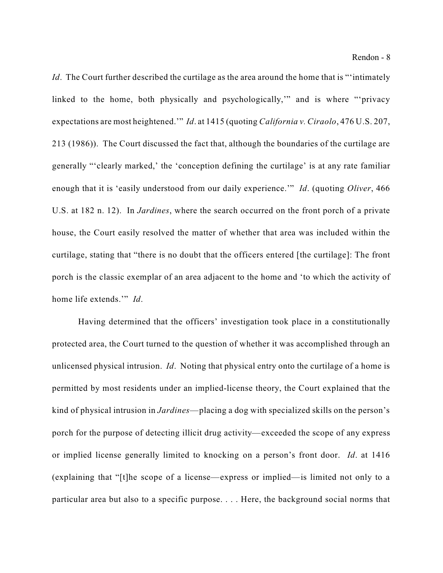*Id.* The Court further described the curtilage as the area around the home that is "'intimately linked to the home, both physically and psychologically,'" and is where "'privacy expectations are most heightened.'" *Id*. at 1415 (quoting *California v. Ciraolo*, 476 U.S. 207, 213 (1986)). The Court discussed the fact that, although the boundaries of the curtilage are generally "'clearly marked,' the 'conception defining the curtilage' is at any rate familiar enough that it is 'easily understood from our daily experience.'" *Id*. (quoting *Oliver*, 466 U.S. at 182 n. 12). In *Jardines*, where the search occurred on the front porch of a private house, the Court easily resolved the matter of whether that area was included within the curtilage, stating that "there is no doubt that the officers entered [the curtilage]: The front porch is the classic exemplar of an area adjacent to the home and 'to which the activity of home life extends.'" *Id*.

Having determined that the officers' investigation took place in a constitutionally protected area, the Court turned to the question of whether it was accomplished through an unlicensed physical intrusion. *Id*. Noting that physical entry onto the curtilage of a home is permitted by most residents under an implied-license theory, the Court explained that the kind of physical intrusion in *Jardines*—placing a dog with specialized skills on the person's porch for the purpose of detecting illicit drug activity—exceeded the scope of any express or implied license generally limited to knocking on a person's front door. *Id*. at 1416 (explaining that "[t]he scope of a license—express or implied—is limited not only to a particular area but also to a specific purpose. . . . Here, the background social norms that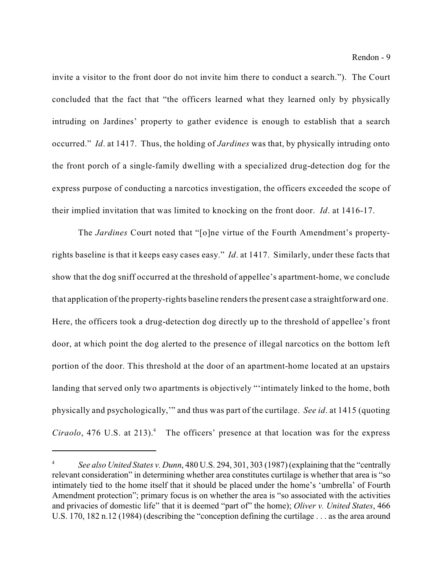invite a visitor to the front door do not invite him there to conduct a search."). The Court concluded that the fact that "the officers learned what they learned only by physically intruding on Jardines' property to gather evidence is enough to establish that a search occurred." *Id*. at 1417. Thus, the holding of *Jardines* was that, by physically intruding onto the front porch of a single-family dwelling with a specialized drug-detection dog for the express purpose of conducting a narcotics investigation, the officers exceeded the scope of their implied invitation that was limited to knocking on the front door. *Id*. at 1416-17.

The *Jardines* Court noted that "[o]ne virtue of the Fourth Amendment's propertyrights baseline is that it keeps easy cases easy." *Id*. at 1417. Similarly, under these facts that show that the dog sniff occurred at the threshold of appellee's apartment-home, we conclude that application of the property-rights baseline renders the present case a straightforward one. Here, the officers took a drug-detection dog directly up to the threshold of appellee's front door, at which point the dog alerted to the presence of illegal narcotics on the bottom left portion of the door. This threshold at the door of an apartment-home located at an upstairs landing that served only two apartments is objectively "'intimately linked to the home, both physically and psychologically,'" and thus was part of the curtilage. *See id*. at 1415 (quoting *Ciraolo*, 476 U.S. at 213).<sup>4</sup> The officers' presence at that location was for the express

*See also United States v. Dunn*, 480 U.S. 294, 301, 303 (1987) (explaining that the "centrally <sup>4</sup> relevant consideration" in determining whether area constitutes curtilage is whether that area is "so intimately tied to the home itself that it should be placed under the home's 'umbrella' of Fourth Amendment protection"; primary focus is on whether the area is "so associated with the activities and privacies of domestic life" that it is deemed "part of" the home); *Oliver v. United States*, 466 U.S. 170, 182 n.12 (1984) (describing the "conception defining the curtilage . . . as the area around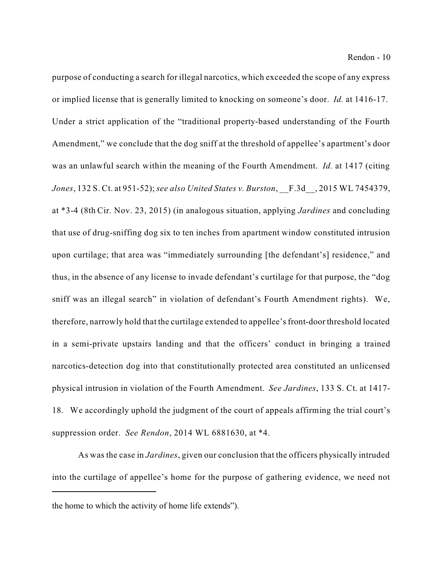purpose of conducting a search for illegal narcotics, which exceeded the scope of any express or implied license that is generally limited to knocking on someone's door. *Id.* at 1416-17. Under a strict application of the "traditional property-based understanding of the Fourth Amendment," we conclude that the dog sniff at the threshold of appellee's apartment's door was an unlawful search within the meaning of the Fourth Amendment. *Id.* at 1417 (citing *Jones*, 132 S. Ct. at 951-52);*see also United States v. Burston*, \_\_F.3d\_\_, 2015 WL 7454379, at \*3-4 (8th Cir. Nov. 23, 2015) (in analogous situation, applying *Jardines* and concluding that use of drug-sniffing dog six to ten inches from apartment window constituted intrusion upon curtilage; that area was "immediately surrounding [the defendant's] residence," and thus, in the absence of any license to invade defendant's curtilage for that purpose, the "dog sniff was an illegal search" in violation of defendant's Fourth Amendment rights). We, therefore, narrowly hold that the curtilage extended to appellee'sfront-door threshold located in a semi-private upstairs landing and that the officers' conduct in bringing a trained narcotics-detection dog into that constitutionally protected area constituted an unlicensed physical intrusion in violation of the Fourth Amendment. *See Jardines*, 133 S. Ct. at 1417- 18. We accordingly uphold the judgment of the court of appeals affirming the trial court's suppression order. *See Rendon*, 2014 WL 6881630, at \*4.

As was the case in *Jardines*, given our conclusion that the officers physically intruded into the curtilage of appellee's home for the purpose of gathering evidence, we need not

the home to which the activity of home life extends").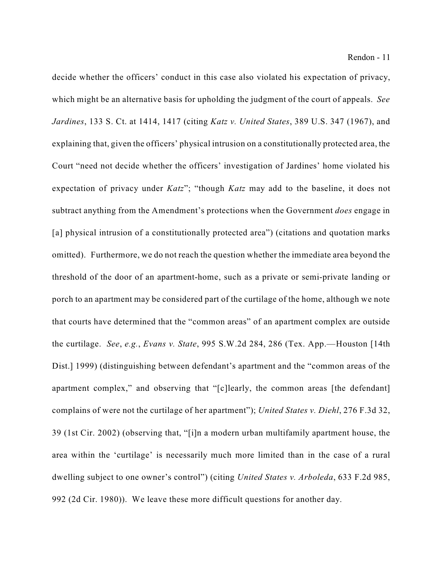decide whether the officers' conduct in this case also violated his expectation of privacy, which might be an alternative basis for upholding the judgment of the court of appeals. *See Jardines*, 133 S. Ct. at 1414, 1417 (citing *Katz v. United States*, 389 U.S. 347 (1967), and explaining that, given the officers' physical intrusion on a constitutionally protected area, the Court "need not decide whether the officers' investigation of Jardines' home violated his expectation of privacy under *Katz*"; "though *Katz* may add to the baseline, it does not subtract anything from the Amendment's protections when the Government *does* engage in [a] physical intrusion of a constitutionally protected area") (citations and quotation marks omitted). Furthermore, we do not reach the question whether the immediate area beyond the threshold of the door of an apartment-home, such as a private or semi-private landing or porch to an apartment may be considered part of the curtilage of the home, although we note that courts have determined that the "common areas" of an apartment complex are outside the curtilage. *See*, *e.g.*, *Evans v. State*, 995 S.W.2d 284, 286 (Tex. App.—Houston [14th Dist.] 1999) (distinguishing between defendant's apartment and the "common areas of the apartment complex," and observing that "[c]learly, the common areas [the defendant] complains of were not the curtilage of her apartment"); *United States v. Diehl*, 276 F.3d 32, 39 (1st Cir. 2002) (observing that, "[i]n a modern urban multifamily apartment house, the area within the 'curtilage' is necessarily much more limited than in the case of a rural dwelling subject to one owner's control") (citing *United States v. Arboleda*, 633 F.2d 985, 992 (2d Cir. 1980)). We leave these more difficult questions for another day.